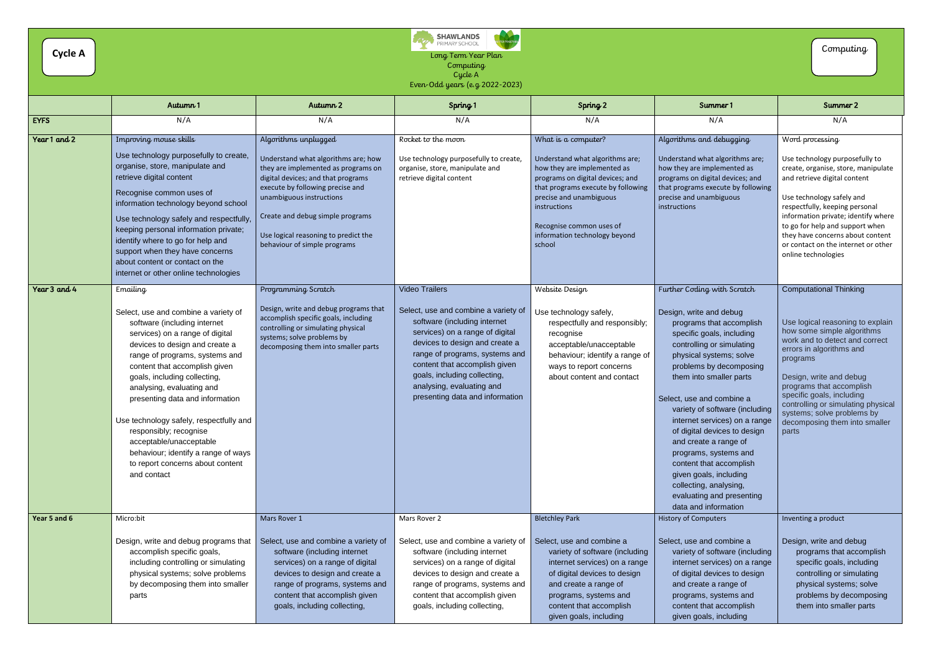Long Term Year Plan **Computing** Cycle A Even-Odd years (e.g 2022-2023)

|              | Autumn 1                                                                                                                                                                                                                                                                                                                                                                                                                                                                                                           | Autumn 2                                                                                                                                                                                                                                                                                                             | Spring 1                                                                                                                                                                                                                                                                                                                              | Spring 2                                                                                                                                                                                                                                                                          | Summer 1                                                                                                                                                                                                                                                                                                                                                                                                                                                                                                                                            | Summer 2                                                                                                                                                                                                                                                                                                                                                                    |
|--------------|--------------------------------------------------------------------------------------------------------------------------------------------------------------------------------------------------------------------------------------------------------------------------------------------------------------------------------------------------------------------------------------------------------------------------------------------------------------------------------------------------------------------|----------------------------------------------------------------------------------------------------------------------------------------------------------------------------------------------------------------------------------------------------------------------------------------------------------------------|---------------------------------------------------------------------------------------------------------------------------------------------------------------------------------------------------------------------------------------------------------------------------------------------------------------------------------------|-----------------------------------------------------------------------------------------------------------------------------------------------------------------------------------------------------------------------------------------------------------------------------------|-----------------------------------------------------------------------------------------------------------------------------------------------------------------------------------------------------------------------------------------------------------------------------------------------------------------------------------------------------------------------------------------------------------------------------------------------------------------------------------------------------------------------------------------------------|-----------------------------------------------------------------------------------------------------------------------------------------------------------------------------------------------------------------------------------------------------------------------------------------------------------------------------------------------------------------------------|
| <b>EYFS</b>  | N/A                                                                                                                                                                                                                                                                                                                                                                                                                                                                                                                | N/A                                                                                                                                                                                                                                                                                                                  | N/A                                                                                                                                                                                                                                                                                                                                   | N/A                                                                                                                                                                                                                                                                               | N/A                                                                                                                                                                                                                                                                                                                                                                                                                                                                                                                                                 | N/A                                                                                                                                                                                                                                                                                                                                                                         |
| Year 1 and 2 | Improving mouse skills<br>Use technology purposefully to create,<br>organise, store, manipulate and<br>retrieve digital content<br>Recognise common uses of<br>information technology beyond school<br>Use technology safely and respectfully,<br>keeping personal information private;<br>identify where to go for help and<br>support when they have concerns<br>about content or contact on the<br>internet or other online technologies                                                                        | Algorithms unplugged<br>Understand what algorithms are; how<br>they are implemented as programs on<br>digital devices; and that programs<br>execute by following precise and<br>unambiguous instructions<br>Create and debug simple programs<br>Use logical reasoning to predict the<br>behaviour of simple programs | Rocket to the moon<br>Use technology purposefully to create,<br>organise, store, manipulate and<br>retrieve digital content                                                                                                                                                                                                           | What is a computer?<br>Understand what algorithms are;<br>how they are implemented as<br>programs on digital devices; and<br>that programs execute by following<br>precise and unambiguous<br>instructions<br>Recognise common uses of<br>information technology beyond<br>school | Algorithms and debugging<br>Understand what algorithms are;<br>how they are implemented as<br>programs on digital devices; and<br>that programs execute by following<br>precise and unambiguous<br>instructions                                                                                                                                                                                                                                                                                                                                     | Word processing<br>Use technology purposefully to<br>create, organise, store, manipulate<br>and retrieve digital content<br>Use technology safely and<br>respectfully, keeping personal<br>information private; identify where<br>to go for help and support when<br>they have concerns about content<br>or contact on the internet or other<br>online technologies         |
| Year 3 and 4 | Emailing<br>Select, use and combine a variety of<br>software (including internet<br>services) on a range of digital<br>devices to design and create a<br>range of programs, systems and<br>content that accomplish given<br>goals, including collecting,<br>analysing, evaluating and<br>presenting data and information<br>Use technology safely, respectfully and<br>responsibly; recognise<br>acceptable/unacceptable<br>behaviour; identify a range of ways<br>to report concerns about content<br>and contact | Programming Scratch<br>Design, write and debug programs that<br>accomplish specific goals, including<br>controlling or simulating physical<br>systems; solve problems by<br>decomposing them into smaller parts                                                                                                      | <b>Video Trailers</b><br>Select, use and combine a variety of<br>software (including internet<br>services) on a range of digital<br>devices to design and create a<br>range of programs, systems and<br>content that accomplish given<br>goals, including collecting,<br>analysing, evaluating and<br>presenting data and information | Website Design<br>Use technology safely,<br>respectfully and responsibly;<br>recognise<br>acceptable/unacceptable<br>behaviour; identify a range of<br>ways to report concerns<br>about content and contact                                                                       | Further Coding with Scratch<br>Design, write and debug<br>programs that accomplish<br>specific goals, including<br>controlling or simulating<br>physical systems; solve<br>problems by decomposing<br>them into smaller parts<br>Select, use and combine a<br>variety of software (including<br>internet services) on a range<br>of digital devices to design<br>and create a range of<br>programs, systems and<br>content that accomplish<br>given goals, including<br>collecting, analysing,<br>evaluating and presenting<br>data and information | <b>Computational Thinking</b><br>Use logical reasoning to explain<br>how some simple algorithms<br>work and to detect and correct<br>errors in algorithms and<br>programs<br>Design, write and debug<br>programs that accomplish<br>specific goals, including<br>controlling or simulating physical<br>systems; solve problems by<br>decomposing them into smaller<br>parts |
| Year 5 and 6 | Micro:bit<br>Design, write and debug programs that<br>accomplish specific goals,<br>including controlling or simulating<br>physical systems; solve problems<br>by decomposing them into smaller<br>parts                                                                                                                                                                                                                                                                                                           | Mars Rover 1<br>Select, use and combine a variety of<br>software (including internet<br>services) on a range of digital<br>devices to design and create a<br>range of programs, systems and<br>content that accomplish given<br>goals, including collecting,                                                         | Mars Rover 2<br>Select, use and combine a variety of<br>software (including internet<br>services) on a range of digital<br>devices to design and create a<br>range of programs, systems and<br>content that accomplish given<br>goals, including collecting,                                                                          | <b>Bletchley Park</b><br>Select, use and combine a<br>variety of software (including<br>internet services) on a range<br>of digital devices to design<br>and create a range of<br>programs, systems and<br>content that accomplish<br>given goals, including                      | <b>History of Computers</b><br>Select, use and combine a<br>variety of software (including<br>internet services) on a range<br>of digital devices to design<br>and create a range of<br>programs, systems and<br>content that accomplish<br>given goals, including                                                                                                                                                                                                                                                                                  | Inventing a product<br>Design, write and debug<br>programs that accomplish<br>specific goals, including<br>controlling or simulating<br>physical systems; solve<br>problems by decomposing<br>them into smaller parts                                                                                                                                                       |





Computing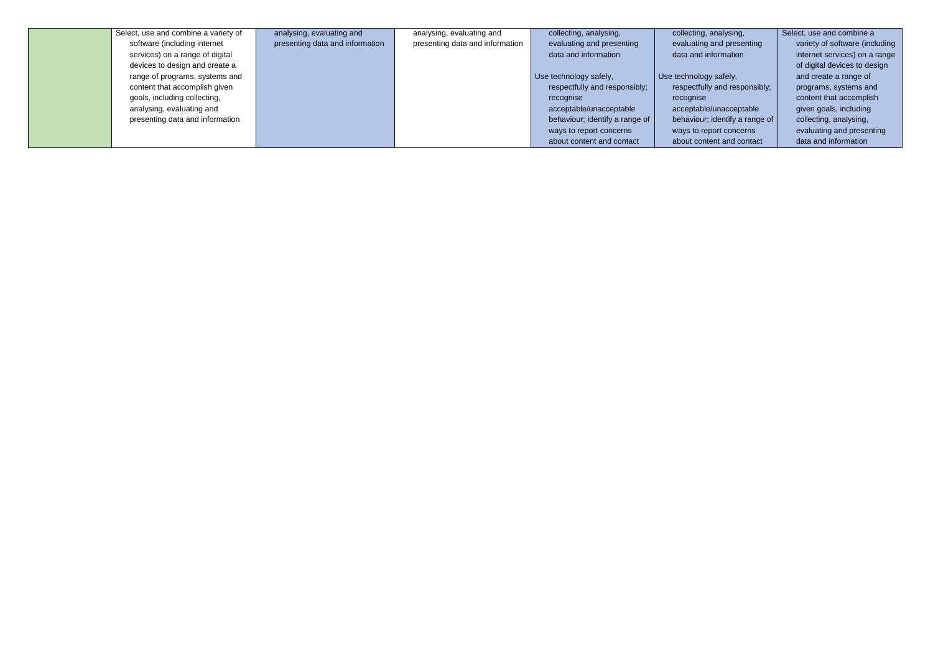| Select, use and combine a variety of | analysing, evaluating and       | analysing, evaluating and       | collecting, analysing,         | collecting, analysing,         | Select, use and combine a      |
|--------------------------------------|---------------------------------|---------------------------------|--------------------------------|--------------------------------|--------------------------------|
| software (including internet         | presenting data and information | presenting data and information | evaluating and presenting      | evaluating and presenting      | variety of software (including |
| services) on a range of digital      |                                 |                                 | data and information           | data and information           | internet services) on a range  |
| devices to design and create a       |                                 |                                 |                                |                                | of digital devices to design   |
| range of programs, systems and       |                                 |                                 | Use technology safely,         | Use technology safely,         | and create a range of          |
| content that accomplish given        |                                 |                                 | respectfully and responsibly;  | respectfully and responsibly;  | programs, systems and          |
| goals, including collecting,         |                                 |                                 | recognise                      | recognise                      | content that accomplish        |
| analysing, evaluating and            |                                 |                                 | acceptable/unacceptable        | acceptable/unacceptable        | given goals, including         |
| presenting data and information      |                                 |                                 | behaviour; identify a range of | behaviour; identify a range of | collecting, analysing,         |
|                                      |                                 |                                 | ways to report concerns        | ways to report concerns        | evaluating and presenting      |
|                                      |                                 |                                 | about content and contact      | about content and contact      | data and information           |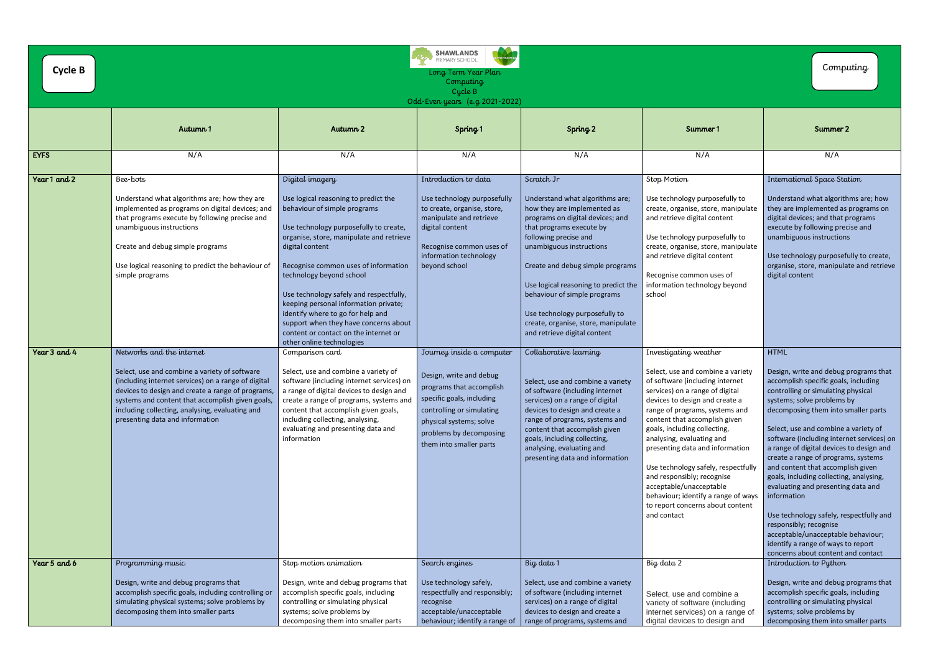| <b>Cycle B</b> | <b>SHAWLANDS</b><br>PRIMARY SCHOOL<br>Long Term Year Plan<br>Computing<br>Cycle B<br>Odd-Even years (e.g 2021-2022)                                                                                                                                                                                                              |                                                                                                                                                                                                                                                                                                                                                                                                                                                                                                              |                                                                                                                                                                                                                             |                                                                                                                                                                                                                                                                                                                                                                                                                        |                                                                                                                                                                                                                                                                                                                                                                                                                                                                                                                                 |                                                                                                                                                                                                                                                                                                                                                                                                                                                                                                                                                                                                                                                                                                             |
|----------------|----------------------------------------------------------------------------------------------------------------------------------------------------------------------------------------------------------------------------------------------------------------------------------------------------------------------------------|--------------------------------------------------------------------------------------------------------------------------------------------------------------------------------------------------------------------------------------------------------------------------------------------------------------------------------------------------------------------------------------------------------------------------------------------------------------------------------------------------------------|-----------------------------------------------------------------------------------------------------------------------------------------------------------------------------------------------------------------------------|------------------------------------------------------------------------------------------------------------------------------------------------------------------------------------------------------------------------------------------------------------------------------------------------------------------------------------------------------------------------------------------------------------------------|---------------------------------------------------------------------------------------------------------------------------------------------------------------------------------------------------------------------------------------------------------------------------------------------------------------------------------------------------------------------------------------------------------------------------------------------------------------------------------------------------------------------------------|-------------------------------------------------------------------------------------------------------------------------------------------------------------------------------------------------------------------------------------------------------------------------------------------------------------------------------------------------------------------------------------------------------------------------------------------------------------------------------------------------------------------------------------------------------------------------------------------------------------------------------------------------------------------------------------------------------------|
|                | Autumn <sub>1</sub>                                                                                                                                                                                                                                                                                                              | Autumn 2                                                                                                                                                                                                                                                                                                                                                                                                                                                                                                     | Spring <sub>1</sub>                                                                                                                                                                                                         | Spring 2                                                                                                                                                                                                                                                                                                                                                                                                               | Summer 1                                                                                                                                                                                                                                                                                                                                                                                                                                                                                                                        | Summer 2                                                                                                                                                                                                                                                                                                                                                                                                                                                                                                                                                                                                                                                                                                    |
| <b>EYFS</b>    | N/A                                                                                                                                                                                                                                                                                                                              | N/A                                                                                                                                                                                                                                                                                                                                                                                                                                                                                                          | N/A                                                                                                                                                                                                                         | N/A                                                                                                                                                                                                                                                                                                                                                                                                                    | N/A                                                                                                                                                                                                                                                                                                                                                                                                                                                                                                                             | N/A                                                                                                                                                                                                                                                                                                                                                                                                                                                                                                                                                                                                                                                                                                         |
| Year 1 and 2   | Bee-bots<br>Understand what algorithms are; how they are<br>implemented as programs on digital devices; and<br>that programs execute by following precise and<br>unambiguous instructions<br>Create and debug simple programs<br>Use logical reasoning to predict the behaviour of<br>simple programs                            | Digital imagery<br>Use logical reasoning to predict the<br>behaviour of simple programs<br>Use technology purposefully to create,<br>organise, store, manipulate and retrieve<br>digital content<br>Recognise common uses of information<br>technology beyond school<br>Use technology safely and respectfully,<br>keeping personal information private;<br>identify where to go for help and<br>support when they have concerns about<br>content or contact on the internet or<br>other online technologies | Introduction to data<br>Use technology purposefully<br>to create, organise, store,<br>manipulate and retrieve<br>digital content<br>Recognise common uses of<br>information technology<br>beyond school                     | Scratch Jr<br>Understand what algorithms are;<br>how they are implemented as<br>programs on digital devices; and<br>that programs execute by<br>following precise and<br>unambiguous instructions<br>Create and debug simple programs<br>Use logical reasoning to predict the<br>behaviour of simple programs<br>Use technology purposefully to<br>create, organise, store, manipulate<br>and retrieve digital content | Stop Motion<br>Use technology purposefully to<br>create, organise, store, manipulate<br>and retrieve digital content<br>Use technology purposefully to<br>create, organise, store, manipulate<br>and retrieve digital content<br>Recognise common uses of<br>information technology beyond<br>school                                                                                                                                                                                                                            | International Space Station<br>Understand what algorithms are; how<br>they are implemented as programs on<br>digital devices; and that programs<br>execute by following precise and<br>unambiguous instructions<br>Use technology purposefully to create,<br>organise, store, manipulate and retrieve<br>digital content                                                                                                                                                                                                                                                                                                                                                                                    |
| Year 3 and 4   | Networks and the internet<br>Select, use and combine a variety of software<br>(including internet services) on a range of digital<br>devices to design and create a range of programs,<br>systems and content that accomplish given goals,<br>including collecting, analysing, evaluating and<br>presenting data and information | Comparison card<br>Select, use and combine a variety of<br>software (including internet services) on<br>a range of digital devices to design and<br>create a range of programs, systems and<br>content that accomplish given goals,<br>including collecting, analysing,<br>evaluating and presenting data and<br>information                                                                                                                                                                                 | Journey inside a computer<br>Design, write and debug<br>programs that accomplish<br>specific goals, including<br>controlling or simulating<br>physical systems; solve<br>problems by decomposing<br>them into smaller parts | Collaborative learning<br>Select, use and combine a variety<br>of software (including internet<br>services) on a range of digital<br>devices to design and create a<br>range of programs, systems and<br>content that accomplish given<br>goals, including collecting,<br>analysing, evaluating and<br>presenting data and information                                                                                 | Investigating weather<br>Select, use and combine a variety<br>of software (including internet<br>services) on a range of digital<br>devices to design and create a<br>range of programs, systems and<br>content that accomplish given<br>goals, including collecting,<br>analysing, evaluating and<br>presenting data and information<br>Use technology safely, respectfully<br>and responsibly; recognise<br>acceptable/unacceptable<br>behaviour; identify a range of ways<br>to report concerns about content<br>and contact | <b>HTML</b><br>Design, write and debug programs that<br>accomplish specific goals, including<br>controlling or simulating physical<br>systems; solve problems by<br>decomposing them into smaller parts<br>Select, use and combine a variety of<br>software (including internet services) on<br>a range of digital devices to design and<br>create a range of programs, systems<br>and content that accomplish given<br>goals, including collecting, analysing,<br>evaluating and presenting data and<br>information<br>Use technology safely, respectfully and<br>responsibly; recognise<br>acceptable/unacceptable behaviour;<br>identify a range of ways to report<br>concerns about content and contact |
| Year 5 and 6   | Programming music<br>Design, write and debug programs that<br>accomplish specific goals, including controlling or<br>simulating physical systems; solve problems by<br>decomposing them into smaller parts                                                                                                                       | Stop motion animation<br>Design, write and debug programs that<br>accomplish specific goals, including<br>controlling or simulating physical<br>systems; solve problems by<br>decomposing them into smaller parts                                                                                                                                                                                                                                                                                            | Search engines<br>Use technology safely,<br>respectfully and responsibly;<br>recognise<br>acceptable/unacceptable<br>behaviour; identify a range of                                                                         | Big data 1<br>Select, use and combine a variety<br>of software (including internet<br>services) on a range of digital<br>devices to design and create a<br>range of programs, systems and                                                                                                                                                                                                                              | Big data 2<br>Select, use and combine a<br>variety of software (including<br>internet services) on a range of<br>digital devices to design and                                                                                                                                                                                                                                                                                                                                                                                  | Introduction to Python<br>Design, write and debug programs that<br>accomplish specific goals, including<br>controlling or simulating physical<br>systems; solve problems by<br>decomposing them into smaller parts                                                                                                                                                                                                                                                                                                                                                                                                                                                                                          |